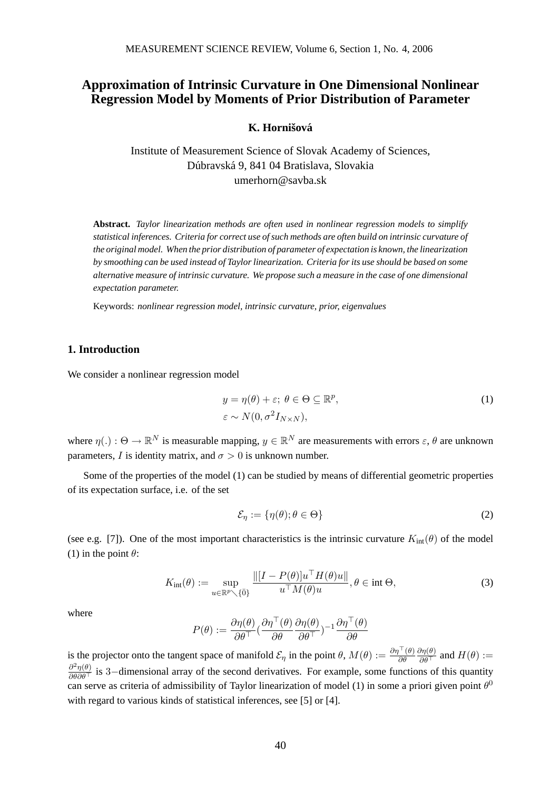# **Approximation of Intrinsic Curvature in One Dimensional Nonlinear Regression Model by Moments of Prior Distribution of Parameter**

 $K$ . Hornišová

Institute of Measurement Science of Slovak Academy of Sciences, Dúbravská 9, 841 04 Bratislava, Slovakia umerhorn@savba.sk

**Abstract.** *Taylor linearization methods are often used in nonlinear regression models to simplify statistical inferences. Criteria for correct use of such methods are often build on intrinsic curvature of the original model. When the prior distribution of parameter of expectation is known, the linearization by smoothing can be used instead of Taylor linearization. Criteria for its use should be based on some alternative measure of intrinsic curvature. We propose such a measure in the case of one dimensional expectation parameter.*

Keywords: *nonlinear regression model, intrinsic curvature, prior, eigenvalues*

### **1. Introduction**

We consider a nonlinear regression model

$$
y = \eta(\theta) + \varepsilon; \ \theta \in \Theta \subseteq \mathbb{R}^p,
$$
  
\n
$$
\varepsilon \sim N(0, \sigma^2 I_{N \times N}),
$$
\n(1)

where  $\eta(.) : \Theta \to \mathbb{R}^N$  is measurable mapping,  $y \in \mathbb{R}^N$  are measurements with errors  $\varepsilon, \theta$  are unknown parameters, I is identity matrix, and  $\sigma > 0$  is unknown number.

Some of the properties of the model (1) can be studied by means of differential geometric properties of its expectation surface, i.e. of the set

$$
\mathcal{E}_{\eta} := \{\eta(\theta); \theta \in \Theta\}
$$
 (2)

(see e.g. [7]). One of the most important characteristics is the intrinsic curvature  $K_{\text{int}}(\theta)$  of the model (1) in the point  $\theta$ :

$$
K_{\text{int}}(\theta) := \sup_{u \in \mathbb{R}^p \setminus \{\bar{0}\}} \frac{\| [I - P(\theta)] u^\top H(\theta) u\|}{u^\top M(\theta) u}, \theta \in \text{int } \Theta,
$$
\n(3)

where

$$
P(\theta) := \frac{\partial \eta(\theta)}{\partial \theta^{\top}} \left( \frac{\partial \eta^{\top}(\theta)}{\partial \theta} \frac{\partial \eta(\theta)}{\partial \theta^{\top}} \right)^{-1} \frac{\partial \eta^{\top}(\theta)}{\partial \theta}
$$

is the projector onto the tangent space of manifold  $\mathcal{E}_{\eta}$  in the point  $\theta$ ,  $M(\theta) := \frac{\partial \eta^{T}(\theta)}{\partial \theta}$  $\frac{\partial \eta(\theta)}{\partial \theta^{\top}}$  and  $H(\theta) :=$  $\frac{\partial^2 \eta(\theta)}{\partial \theta \partial \theta}$  is 3–dimensional array of the second derivatives. For example, some functions of this quantity can serve as criteria of admissibility of Taylor linearization of model (1) in some a priori given point  $\theta^0$ with regard to various kinds of statistical inferences, see [5] or [4].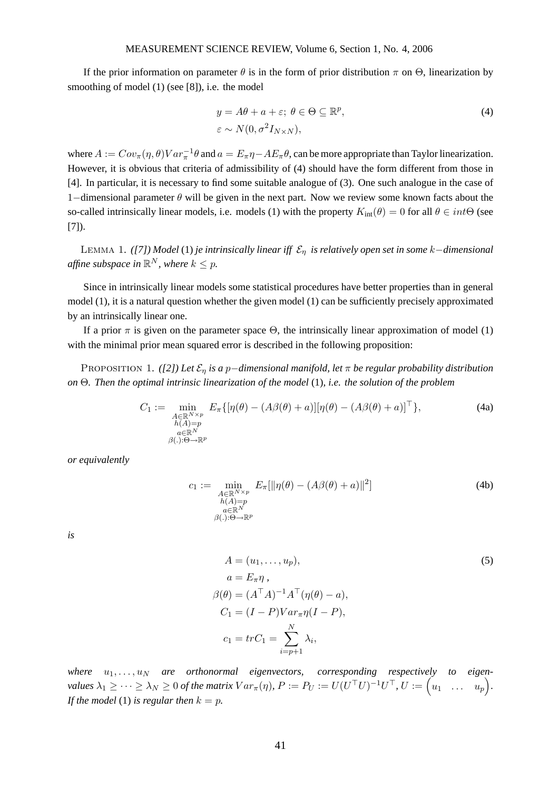### MEASUREMENT SCIENCE REVIEW, Volume 6, Section 1, No. 4, 2006

If the prior information on parameter  $\theta$  is in the form of prior distribution  $\pi$  on  $\Theta$ , linearization by smoothing of model (1) (see [8]), i.e. the model

$$
y = A\theta + a + \varepsilon; \ \theta \in \Theta \subseteq \mathbb{R}^p,
$$
  
\n
$$
\varepsilon \sim N(0, \sigma^2 I_{N \times N}),
$$
\n(4)

where  $A := Cov_{\pi}(\eta, \theta) Var_{\pi}^{-1} \theta$  and  $a = E_{\pi} \eta - AE_{\pi} \theta$ , can be more appropriate than Taylor linearization. However, it is obvious that criteria of admissibility of (4) should have the form different from those in [4]. In particular, it is necessary to find some suitable analogue of (3). One such analogue in the case of 1–dimensional parameter  $\theta$  will be given in the next part. Now we review some known facts about the so-called intrinsically linear models, i.e. models (1) with the property  $K_{int}(\theta) = 0$  for all  $\theta \in int\Theta$  (see [7]).

Lemma 1. *([7]) Model* (1) *je intrinsically linear iff* E<sup>η</sup> *is relatively open set in some* k−*dimensional* affine subspace in  $\mathbb{R}^N$ , where  $k\leq p$ .

Since in intrinsically linear models some statistical procedures have better properties than in general model (1), it is a natural question whether the given model (1) can be sufficiently precisely approximated by an intrinsically linear one.

If a prior  $\pi$  is given on the parameter space  $\Theta$ , the intrinsically linear approximation of model (1) with the minimal prior mean squared error is described in the following proposition:

Proposition 1. *([2]) Let* E<sup>η</sup> *is a* p−*dimensional manifold, let* π *be regular probability distribution on* Θ*. Then the optimal intrinsic linearization of the model* (1)*, i.e. the solution of the problem*

$$
C_1 := \min_{\substack{A \in \mathbb{R}^{N \times p} \\ h(A) = p \\ a \in \mathbb{R}^N}} E_{\pi} \{ [\eta(\theta) - (A\beta(\theta) + a)] [\eta(\theta) - (A\beta(\theta) + a)]^{\top} \},
$$
(4a)  

$$
\max_{\substack{a \in \mathbb{R}^N \\ \beta(.): \Theta \to \mathbb{R}^p}}
$$

*or equivalently*

$$
c_1 := \min_{\substack{A \in \mathbb{R}^{N \times p} \\ h(A) = p \\ \beta(.): \Theta \to \mathbb{R}^p}} E_{\pi}[\|\eta(\theta) - (A\beta(\theta) + a)\|^2]
$$
(4b)

*is*

$$
A = (u_1, \dots, u_p),
$$
  
\n
$$
a = E_{\pi} \eta,
$$
  
\n
$$
\beta(\theta) = (A^{\top} A)^{-1} A^{\top} (\eta(\theta) - a),
$$
  
\n
$$
C_1 = (I - P)Var_{\pi} \eta(I - P),
$$
  
\n
$$
c_1 = trC_1 = \sum_{i=p+1}^{N} \lambda_i,
$$
\n(5)

where  $u_1, \ldots, u_N$  are orthonormal eigenvectors, corresponding respectively to eigen- $\textit{values } \lambda_1 \geq \cdots \geq \lambda_N \geq 0 \textit{ of the matrix } Var_\pi(\eta),\,P := P_U := U(U^\top U)^{-1} U^\top,\, U := \Big( u_1 \quad \ldots \quad u_p \Big).$ *If the model* (1) *is regular then*  $k = p$ *.*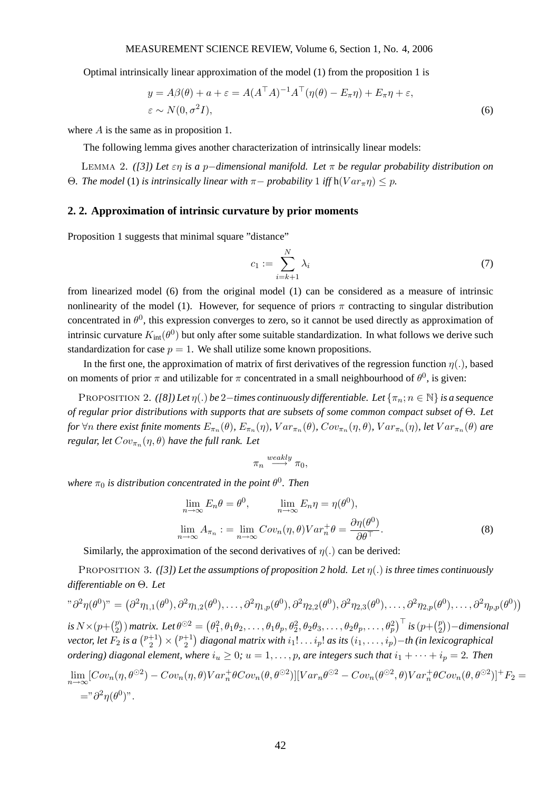Optimal intrinsically linear approximation of the model (1) from the proposition 1 is

$$
y = A\beta(\theta) + a + \varepsilon = A(A^{\top}A)^{-1}A^{\top}(\eta(\theta) - E_{\pi}\eta) + E_{\pi}\eta + \varepsilon,
$$
  
\n
$$
\varepsilon \sim N(0, \sigma^2 I),
$$
\n(6)

where A is the same as in proposition 1.

The following lemma gives another characterization of intrinsically linear models:

Lemma 2. *([3]) Let* εη *is a* p−*dimensional manifold. Let* π *be regular probability distribution on* Θ. *The model* (1) *is intrinsically linear with*  $π −$  *probability* 1 *iff* h( $Var_{πη$ ) < *p.* 

# **2. 2. Approximation of intrinsic curvature by prior moments**

Proposition 1 suggests that minimal square "distance"

$$
c_1 := \sum_{i=k+1}^{N} \lambda_i \tag{7}
$$

from linearized model (6) from the original model (1) can be considered as a measure of intrinsic nonlinearity of the model (1). However, for sequence of priors  $\pi$  contracting to singular distribution concentrated in  $\theta^0$ , this expression converges to zero, so it cannot be used directly as approximation of intrinsic curvature  $K_{\text{int}}(\theta^0)$  but only after some suitable standardization. In what follows we derive such standardization for case  $p = 1$ . We shall utilize some known propositions.

In the first one, the approximation of matrix of first derivatives of the regression function  $\eta(.)$ , based on moments of prior  $\pi$  and utilizable for  $\pi$  concentrated in a small neighbourhood of  $\theta^0$ , is given:

PROPOSITION 2. *([8])* Let  $\eta(.)$  be 2−*times continuously differentiable. Let*  $\{\pi_n; n \in \mathbb{N}\}\$ *is a sequence of regular prior distributions with supports that are subsets of some common compact subset of* Θ*. Let* for  $\forall n$  there exist finite moments  $E_{\pi_n}(\theta)$ ,  $E_{\pi_n}(\eta)$ ,  $Var_{\pi_n}(\theta)$ ,  $Cov_{\pi_n}(\eta,\theta)$ ,  $Var_{\pi_n}(\eta)$ , let  $Var_{\pi_n}(\theta)$  are *regular, let*  $Cov_{\pi_n}(\eta,\theta)$  *have the full rank. Let* 

$$
\pi_n \xrightarrow{weakly} \pi_0,
$$

where  $\pi_0$  is distribution concentrated in the point  $\theta^0$ . Then

$$
\lim_{n \to \infty} E_n \theta = \theta^0, \qquad \lim_{n \to \infty} E_n \eta = \eta(\theta^0),
$$
  

$$
\lim_{n \to \infty} A_{\pi_n} := \lim_{n \to \infty} Cov_n(\eta, \theta) Var_n^+ \theta = \frac{\partial \eta(\theta^0)}{\partial \theta^{\top}}.
$$
 (8)

Similarly, the approximation of the second derivatives of  $\eta(.)$  can be derived:

Proposition 3. *([3]) Let the assumptions of proposition 2 hold. Let* η(.) *is three times continuously differentiable on* Θ*. Let*

$$
\partial^2 \eta(\theta^0)^n = (\partial^2 \eta_{1,1}(\theta^0), \partial^2 \eta_{1,2}(\theta^0), \dots, \partial^2 \eta_{1,p}(\theta^0), \partial^2 \eta_{2,2}(\theta^0), \partial^2 \eta_{2,3}(\theta^0), \dots, \partial^2 \eta_{2,p}(\theta^0), \dots, \partial^2 \eta_{p,p}(\theta^0))
$$
  
\nis  $N \times (p + \binom{p}{2})$  matrix. Let  $\theta^{\odot 2} = (\theta_1^2, \theta_1 \theta_2, \dots, \theta_1 \theta_p, \theta_2^2, \theta_2 \theta_3, \dots, \theta_2 \theta_p, \dots, \theta_p^2)^\top$  is  $(p + \binom{p}{2})$ -dimensional  
\nvector, let  $F_2$  is a  $\binom{p+1}{2} \times \binom{p+1}{2}$  diagonal matrix with  $i_1! \dots i_p!$  as its  $(i_1, \dots, i_p)$ -th (in lexicographical  
\nordering) diagonal element, where  $i_u \geq 0$ ;  $u = 1, \dots, p$ , are integers such that  $i_1 + \dots + i_p = 2$ . Then  
\n
$$
\lim_{n \to \infty} [Cov_n(\eta, \theta^{\odot 2}) - Cov_n(\eta, \theta)Var_n^+ \theta Cov_n(\theta, \theta^{\odot 2})][Var_n\theta^{\odot 2} - Cov_n(\theta^{\odot 2}, \theta)Var_n^+ \theta Cov_n(\theta, \theta^{\odot 2})]^+ F_2 =
$$
  
\n
$$
= \partial^2 \eta(\theta^0)^n.
$$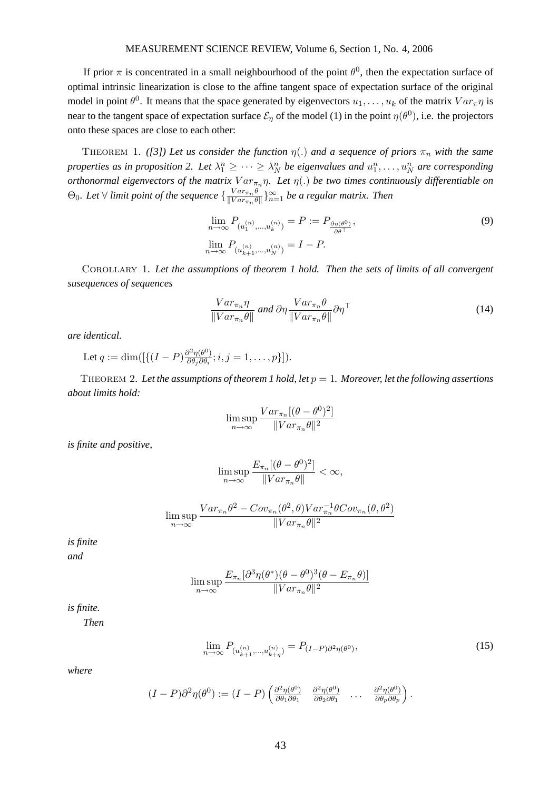If prior  $\pi$  is concentrated in a small neighbourhood of the point  $\theta^0$ , then the expectation surface of optimal intrinsic linearization is close to the affine tangent space of expectation surface of the original model in point  $\theta^0$ . It means that the space generated by eigenvectors  $u_1, \ldots, u_k$  of the matrix  $Var_{\pi} \eta$  is near to the tangent space of expectation surface  $\mathcal{E}_\eta$  of the model (1) in the point  $\eta(\theta^0)$ , i.e. the projectors onto these spaces are close to each other:

THEOREM 1. *([3]) Let us consider the function*  $\eta(.)$  *and a sequence of priors*  $\pi_n$  *with the same properties as in proposition 2. Let*  $\lambda_1^n \geq \cdots \geq \lambda_N^n$  *be eigenvalues and*  $u_1^n, \ldots, u_N^n$  are corresponding *orthonormal eigenvectors of the matrix*  $Var_{\pi_n} \eta$ . Let  $\eta(.)$  be two times continuously differentiable on  $\Theta_0$ . Let  $\forall$  *limit point of the sequence*  $\begin{cases} \frac{Var_{\pi n} \theta}{\|Var_{\pi n}\|} \end{cases}$  $\frac{Var_{\pi_n}\theta}{\|Var_{\pi_n}\theta\|}\}_{n=1}^{\infty}$  be a regular matrix. Then

$$
\lim_{n \to \infty} P_{(u_1^{(n)}, ..., u_k^{(n)})} = P := P_{\frac{\partial \eta(\theta^0)}{\partial \theta^{\top}}},
$$
\n
$$
\lim_{n \to \infty} P_{(u_{k+1}^{(n)}, ..., u_N^{(n)})} = I - P.
$$
\n(9)

Corollary 1. *Let the assumptions of theorem 1 hold. Then the sets of limits of all convergent susequences of sequences*

$$
\frac{Var_{\pi_n}\eta}{\|Var_{\pi_n}\theta\|} \text{ and } \partial\eta \frac{Var_{\pi_n}\theta}{\|Var_{\pi_n}\theta\|} \partial\eta^{\top}
$$
 (14)

*are identical.*

Let  $q := \dim\left(\left[\left\{\left(I - P\right) \frac{\partial^2 \eta(\theta^0)}{\partial \theta \cdot \partial \theta} \right]\right\}\right]$  $\frac{\partial^2 \eta(\theta^*)}{\partial \theta_j \partial \theta_i}; i, j = 1, \ldots, p \}].$ 

THEOREM 2. Let the assumptions of theorem 1 hold, let  $p = 1$ . Moreover, let the following assertions *about limits hold:*

$$
\limsup_{n \to \infty} \frac{Var_{\pi_n}[(\theta - \theta^0)^2]}{\|Var_{\pi_n}\theta\|^2}
$$

*is finite and positive,*

$$
\limsup_{n\to\infty}\frac{E_{\pi_n}[(\theta-\theta^0)^2]}{\|Var_{\pi_n}\theta\|}<\infty,
$$

$$
\limsup_{n \to \infty} \frac{Var_{\pi_n} \theta^2 - Cov_{\pi_n}(\theta^2, \theta) Var_{\pi_n}^{-1} \theta Cov_{\pi_n}(\theta, \theta^2)}{\|Var_{\pi_n} \theta\|^2}
$$

*is finite and*

$$
\limsup_{n \to \infty} \frac{E_{\pi_n}[\partial^3 \eta(\theta^*)(\theta - \theta^0)^3(\theta - E_{\pi_n}\theta)]}{\|Var_{\pi_n}\theta\|^2}
$$

*is finite.*

*Then*

$$
\lim_{n \to \infty} P_{(u_{k+1}^{(n)}, \dots, u_{k+q}^{(n)})} = P_{(I-P)\partial^2 \eta(\theta^0)},\tag{15}
$$

*where*

$$
(I-P)\partial^2 \eta(\theta^0) := (I-P)\begin{pmatrix} \frac{\partial^2 \eta(\theta^0)}{\partial \theta_1 \partial \theta_1} & \frac{\partial^2 \eta(\theta^0)}{\partial \theta_2 \partial \theta_1} & \dots & \frac{\partial^2 \eta(\theta^0)}{\partial \theta_p \partial \theta_p} \end{pmatrix}.
$$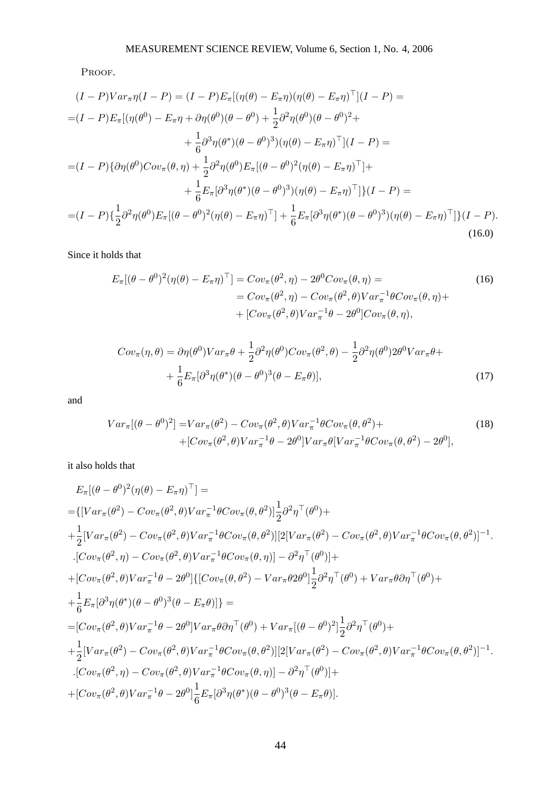Proof.

$$
(I - P)Var_{\pi}\eta(I - P) = (I - P)E_{\pi}[(\eta(\theta) - E_{\pi}\eta)(\eta(\theta) - E_{\pi}\eta)^{\top}](I - P) =
$$
  
\n
$$
= (I - P)E_{\pi}[(\eta(\theta^{0}) - E_{\pi}\eta + \partial\eta(\theta^{0})(\theta - \theta^{0}) + \frac{1}{2}\partial^{2}\eta(\theta^{0})(\theta - \theta^{0})^{2} + \frac{1}{6}\partial^{3}\eta(\theta^{*})(\theta - \theta^{0})^{3})(\eta(\theta) - E_{\pi}\eta)^{\top}](I - P) =
$$
  
\n
$$
= (I - P)\{\partial\eta(\theta^{0})Cov_{\pi}(\theta, \eta) + \frac{1}{2}\partial^{2}\eta(\theta^{0})E_{\pi}[(\theta - \theta^{0})^{2}(\eta(\theta) - E_{\pi}\eta)^{\top}]+\frac{1}{6}E_{\pi}[\partial^{3}\eta(\theta^{*})(\theta - \theta^{0})^{3})(\eta(\theta) - E_{\pi}\eta)^{\top}]\}\{I - P\} =
$$
  
\n
$$
= (I - P)\{\frac{1}{2}\partial^{2}\eta(\theta^{0})E_{\pi}[(\theta - \theta^{0})^{2}(\eta(\theta) - E_{\pi}\eta)^{\top}] + \frac{1}{6}E_{\pi}[\partial^{3}\eta(\theta^{*})(\theta - \theta^{0})^{3})(\eta(\theta) - E_{\pi}\eta)^{\top}]\}\{I - P\}.
$$
  
\n(16.0)

Since it holds that

$$
E_{\pi}[(\theta - \theta^0)^2(\eta(\theta) - E_{\pi}\eta)^{\top}] = Cov_{\pi}(\theta^2, \eta) - 2\theta^0 Cov_{\pi}(\theta, \eta) =
$$
  
\n
$$
= Cov_{\pi}(\theta^2, \eta) - Cov_{\pi}(\theta^2, \theta) Var_{\pi}^{-1} \theta Cov_{\pi}(\theta, \eta) +
$$
  
\n
$$
+ [Cov_{\pi}(\theta^2, \theta) Var_{\pi}^{-1} \theta - 2\theta^0] Cov_{\pi}(\theta, \eta),
$$
\n(16)

$$
Cov_{\pi}(\eta,\theta) = \partial \eta(\theta^0) Var_{\pi}\theta + \frac{1}{2}\partial^2 \eta(\theta^0) Cov_{\pi}(\theta^2,\theta) - \frac{1}{2}\partial^2 \eta(\theta^0) 2\theta^0 Var_{\pi}\theta + + \frac{1}{6} E_{\pi} [\partial^3 \eta(\theta^*) (\theta - \theta^0)^3 (\theta - E_{\pi}\theta)],
$$
\n(17)

and

$$
Var_{\pi}[(\theta - \theta^0)^2] = Var_{\pi}(\theta^2) - Cov_{\pi}(\theta^2, \theta) Var_{\pi}^{-1} \theta Cov_{\pi}(\theta, \theta^2) +
$$
  
+[ $Cov_{\pi}(\theta^2, \theta) Var_{\pi}^{-1} \theta - 2\theta^0] Var_{\pi} \theta [Var_{\pi}^{-1} \theta Cov_{\pi}(\theta, \theta^2) - 2\theta^0],$  (18)

it also holds that

$$
E_{\pi}[(\theta - \theta^{0})^{2}(\eta(\theta) - E_{\pi}\eta)^{\top}] =
$$
\n
$$
= \{[Var_{\pi}(\theta^{2}) - Cov_{\pi}(\theta^{2}, \theta)Var_{\pi}^{-1}\theta Cov_{\pi}(\theta, \theta^{2})]\frac{1}{2}\partial^{2}\eta^{\top}(\theta^{0}) +
$$
\n
$$
+ \frac{1}{2}[Var_{\pi}(\theta^{2}) - Cov_{\pi}(\theta^{2}, \theta)Var_{\pi}^{-1}\theta Cov_{\pi}(\theta, \theta^{2})][2[Var_{\pi}(\theta^{2}) - Cov_{\pi}(\theta^{2}, \theta)Var_{\pi}^{-1}\theta Cov_{\pi}(\theta, \theta^{2})]^{-1}.
$$
\n
$$
\cdot[Cov_{\pi}(\theta^{2}, \eta) - Cov_{\pi}(\theta^{2}, \theta)Var_{\pi}^{-1}\theta Cov_{\pi}(\theta, \eta)] - \partial^{2}\eta^{\top}(\theta^{0})] +
$$
\n
$$
+ [Cov_{\pi}(\theta^{2}, \theta)Var_{\pi}^{-1}\theta - 2\theta^{0}]\{[Cov_{\pi}(\theta, \theta^{2}) - Var_{\pi}\theta 2\theta^{0}]\frac{1}{2}\partial^{2}\eta^{\top}(\theta^{0}) + Var_{\pi}\theta \partial \eta^{\top}(\theta^{0}) +
$$
\n
$$
+ \frac{1}{6}E_{\pi}[\partial^{3}\eta(\theta^{*})(\theta - \theta^{0})^{3}(\theta - E_{\pi}\theta)]\} =
$$
\n
$$
= [Cov_{\pi}(\theta^{2}, \theta)Var_{\pi}^{-1}\theta - 2\theta^{0}]Var_{\pi}\theta \partial \eta^{\top}(\theta^{0}) + Var_{\pi}[(\theta - \theta^{0})^{2}]\frac{1}{2}\partial^{2}\eta^{\top}(\theta^{0}) +
$$
\n
$$
+ \frac{1}{2}[Var_{\pi}(\theta^{2}) - Cov_{\pi}(\theta^{2}, \theta)Var_{\pi}^{-1}\theta Cov_{\pi}(\theta, \theta^{2})][2[Var_{\pi}(\theta^{2}) - Cov_{\pi}(\theta^{2}, \theta)Var_{\pi}^{-1}\theta Cov_{\pi}(\theta, \theta^{2})]^{-1}.
$$
\n
$$
\cdot[Cov_{\pi}(\theta^{2}, \eta) - Cov_{\pi}(\theta^{2}, \theta)Var_{\pi}^{-1}\theta Cov_{\pi}(\
$$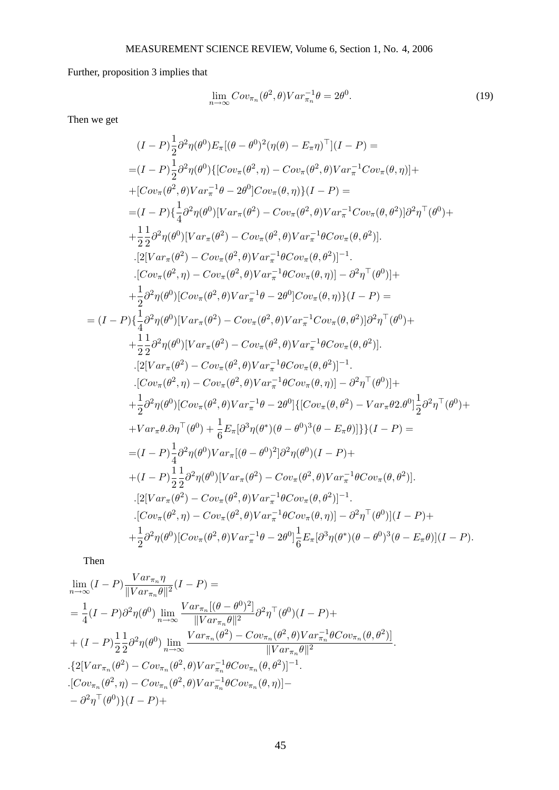Further, proposition 3 implies that

$$
\lim_{n \to \infty} Cov_{\pi_n}(\theta^2, \theta) Var_{\pi_n}^{-1} \theta = 2\theta^0.
$$
\n(19)

Then we get

 $=$ 

$$
(I-P)\frac{1}{2}\partial^{2}\eta(\theta^{0})E_{\pi}[(\theta-\theta^{0})^{2}(\eta(\theta)-E_{\pi}\eta)^{T}](I-P) =
$$
\n
$$
=(I-P)\frac{1}{2}\partial^{2}\eta(\theta^{0})\{[Cov_{\pi}(\theta^{2},\eta)-Cov_{\pi}(\theta^{2},\theta)Var_{\pi}^{-1}Cov_{\pi}(\theta,\eta)] +
$$
\n
$$
+[Cov_{\pi}(\theta^{2},\theta)Var_{\pi}^{-1}\theta-2\theta^{0}]Cov_{\pi}(\theta,\eta)\}(I-P) =
$$
\n
$$
=(I-P)\{\frac{1}{4}\partial^{2}\eta(\theta^{0})[Var_{\pi}(\theta^{2})-Cov_{\pi}(\theta^{2},\theta)Var_{\pi}^{-1}Cov_{\pi}(\theta,\theta^{2})]\partial^{2}\eta^{T}(\theta^{0}) +
$$
\n
$$
+\frac{1}{2}\frac{1}{2}\partial^{2}\eta(\theta^{0})[Var_{\pi}(\theta^{2})-Cov_{\pi}(\theta^{2},\theta)Var_{\pi}^{-1}\theta Cov_{\pi}(\theta,\theta^{2})].
$$
\n
$$
.[2[Var_{\pi}(\theta^{2})-Cov_{\pi}(\theta^{2},\theta)Var_{\pi}^{-1}\theta Cov_{\pi}(\theta,\theta^{2})] -
$$
\n
$$
.[Cov_{\pi}(\theta^{2},\eta)-Cov_{\pi}(\theta^{2},\theta)Var_{\pi}^{-1}\theta Cov_{\pi}(\theta,\eta)] - \partial^{2}\eta^{T}(\theta^{0})] +
$$
\n
$$
+\frac{1}{2}\partial^{2}\eta(\theta^{0})[Cov_{\pi}(\theta^{2},\theta)Var_{\pi}^{-1}\theta Cov_{\pi}(\theta,\eta)] - \partial^{2}\eta^{T}(\theta^{0}) +
$$
\n
$$
+\frac{1}{2}\partial^{2}\eta(\theta^{0})[Var_{\pi}(\theta^{2})-Cov_{\pi}(\theta^{2},\theta)Var_{\pi}^{-1}Cov_{\pi}(\theta,\theta^{2})]\partial^{2}\eta^{T}(\theta^{0}) +
$$
\n
$$
+\frac{1}{2}\partial^{2}\eta(\theta^{0})[Var_{\pi}(\theta^{2})-Cov_{\pi}(\theta^{2},\theta)Var_{\pi}^{-1}Cov_{\pi}(\theta,\theta^{2})]\partial^{2}\eta^{T}(\theta^{0})
$$

Then

$$
\lim_{n \to \infty} (I - P) \frac{Var_{\pi_n} \eta}{\|Var_{\pi_n} \theta\|^2} (I - P) =
$$
\n
$$
= \frac{1}{4} (I - P) \partial^2 \eta(\theta^0) \lim_{n \to \infty} \frac{Var_{\pi_n} [(\theta - \theta^0)^2]}{\|Var_{\pi_n} \theta\|^2} \partial^2 \eta^{\top}(\theta^0) (I - P) +
$$
\n
$$
+ (I - P) \frac{1}{2} \frac{1}{2} \partial^2 \eta(\theta^0) \lim_{n \to \infty} \frac{Var_{\pi_n} (\theta^2) - Cov_{\pi_n} (\theta^2, \theta) Var_{\pi_n}^{-1} \theta Cov_{\pi_n} (\theta, \theta^2)]}{\|Var_{\pi_n} \theta\|^2}.
$$
\n
$$
\{2[Var_{\pi_n} (\theta^2) - Cov_{\pi_n} (\theta^2, \theta) Var_{\pi_n}^{-1} \theta Cov_{\pi_n} (\theta, \theta^2)]^{-1}.
$$
\n
$$
\cdot [Cov_{\pi_n} (\theta^2, \eta) - Cov_{\pi_n} (\theta^2, \theta) Var_{\pi_n}^{-1} \theta Cov_{\pi_n} (\theta, \eta)] -
$$
\n
$$
- \partial^2 \eta^{\top} (\theta^0) \{ (I - P) +
$$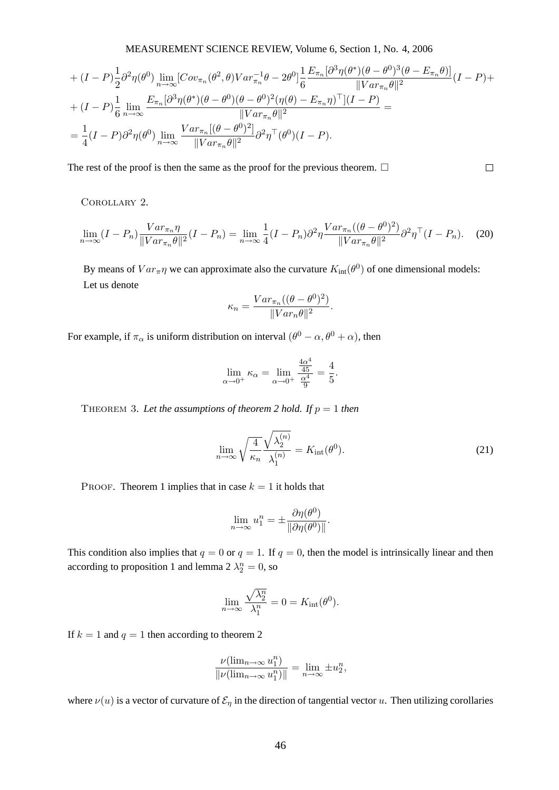+ 
$$
(I - P)\frac{1}{2}\partial^2 \eta(\theta^0) \lim_{n \to \infty} [Cov_{\pi_n}(\theta^2, \theta)Var_{\pi_n}^{-1}\theta - 2\theta^0] \frac{1}{6} \frac{E_{\pi_n}[\partial^3 \eta(\theta^*)(\theta - \theta^0)^3(\theta - E_{\pi_n}\theta)]}{\|Var_{\pi_n}\theta\|^2} (I - P) +
$$
  
+  $(I - P)\frac{1}{6} \lim_{n \to \infty} \frac{E_{\pi_n}[\partial^3 \eta(\theta^*)(\theta - \theta^0)(\theta - \theta^0)^2(\eta(\theta) - E_{\pi_n}\eta)^T](I - P)}{\|Var_{\pi_n}\theta\|^2} =$   
=  $\frac{1}{4}(I - P)\partial^2 \eta(\theta^0) \lim_{n \to \infty} \frac{Var_{\pi_n}[(\theta - \theta^0)^2]}{\|Var_{\pi_n}\theta\|^2} \partial^2 \eta^T(\theta^0)(I - P).$ 

The rest of the proof is then the same as the proof for the previous theorem.  $\Box$ 

Corollary 2.

$$
\lim_{n \to \infty} (I - P_n) \frac{Var_{\pi_n} \eta}{\|Var_{\pi_n} \theta\|^2} (I - P_n) = \lim_{n \to \infty} \frac{1}{4} (I - P_n) \partial^2 \eta \frac{Var_{\pi_n}((\theta - \theta^0)^2)}{\|Var_{\pi_n} \theta\|^2} \partial^2 \eta^\top (I - P_n).
$$
 (20)

By means of  $Var_{\pi} \eta$  we can approximate also the curvature  $K_{int}(\theta^0)$  of one dimensional models: Let us denote

$$
\kappa_n = \frac{Var_{\pi_n}((\theta - \theta^0)^2)}{\|Var_n\theta\|^2}.
$$

For example, if  $\pi_{\alpha}$  is uniform distribution on interval  $(\theta^0 - \alpha, \theta^0 + \alpha)$ , then

$$
\lim_{\alpha \to 0^{+}} \kappa_{\alpha} = \lim_{\alpha \to 0^{+}} \frac{\frac{4\alpha^{4}}{45}}{\frac{\alpha^{4}}{9}} = \frac{4}{5}.
$$

THEOREM 3. Let the assumptions of theorem 2 hold. If  $p = 1$  then

$$
\lim_{n \to \infty} \sqrt{\frac{4}{\kappa_n}} \frac{\sqrt{\lambda_2^{(n)}}}{\lambda_1^{(n)}} = K_{\text{int}}(\theta^0). \tag{21}
$$

 $\Box$ 

PROOF. Theorem 1 implies that in case  $k = 1$  it holds that

$$
\lim_{n \to \infty} u_1^n = \pm \frac{\partial \eta(\theta^0)}{\|\partial \eta(\theta^0)\|}.
$$

This condition also implies that  $q = 0$  or  $q = 1$ . If  $q = 0$ , then the model is intrinsically linear and then according to proposition 1 and lemma  $2 \lambda_2^n = 0$ , so

$$
\lim_{n \to \infty} \frac{\sqrt{\lambda_2^n}}{\lambda_1^n} = 0 = K_{\text{int}}(\theta^0).
$$

If  $k = 1$  and  $q = 1$  then according to theorem 2

$$
\frac{\nu(\lim_{n\to\infty}u_1^n)}{\|\nu(\lim_{n\to\infty}u_1^n)\|}=\lim_{n\to\infty}\pm u_2^n,
$$

where  $\nu(u)$  is a vector of curvature of  $\mathcal{E}_{\eta}$  in the direction of tangential vector u. Then utilizing corollaries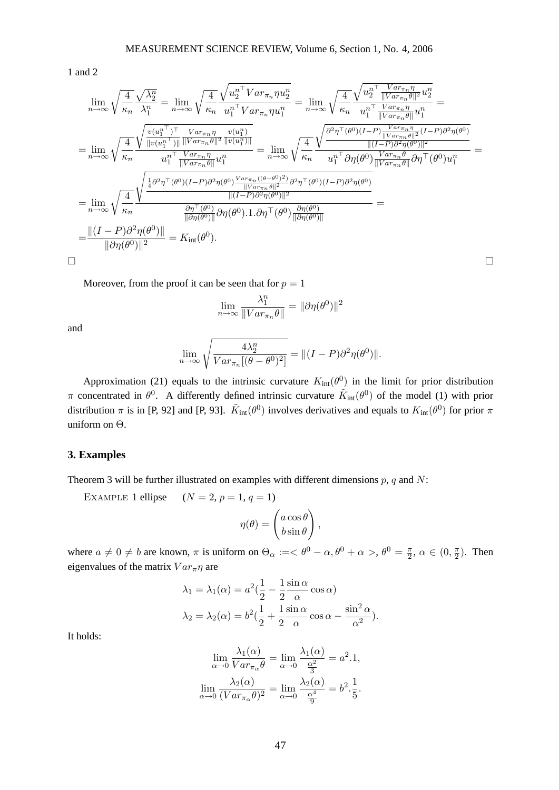1 and 2

$$
\lim_{n\to\infty}\sqrt{\frac{4}{\kappa_n}}\frac{\sqrt{\lambda_2^n}}{\lambda_1^n} = \lim_{n\to\infty}\sqrt{\frac{4}{\kappa_n}}\frac{\sqrt{u_2^{n\top}Var_{\pi_n}\eta u_2^n}}{u_1^{n\top}Var_{\pi_n}\eta u_1^n} = \lim_{n\to\infty}\sqrt{\frac{4}{\kappa_n}}\frac{\sqrt{u_2^{n\top} \frac{Var_{\pi_n}\eta}{||Var_{\pi_n}\theta||^2}u_2^n}}{u_1^{n\top} \frac{Var_{\pi_n}\eta}{||Var_{\pi_n}\theta||^2}u_1^n}}{u_1^{n\top} \frac{Var_{\pi_n}\eta}{||Var_{\pi_n}\theta||^2}u_1^n} =
$$
\n
$$
= \lim_{n\to\infty}\sqrt{\frac{4}{\kappa_n}}\frac{\sqrt{\frac{u(u_1^{n\top})\top Var_{\pi_n}\eta}{||Var_{\pi_n}\theta||^2|||Var_{\pi_n}^n}u_2^{(u_1^n)}}{||Var_{\pi_n}\theta||^2|||Var_{\pi_n}^n} = \lim_{n\to\infty}\sqrt{\frac{4}{\kappa_n}}\frac{\sqrt{\frac{\partial^2\eta\top(\theta^0)(I-P)\frac{Var_{\pi_n}\eta}{||Var_{\pi_n}\theta||^2}(I-P)\partial^2\eta(\theta^0)}}{||U-P)\partial^2\eta(\theta^0)||^2}}{u_1^{n\top}Var_{\pi_n}\theta||^2\eta\top(\theta^0)u_1^n} =
$$
\n
$$
= \lim_{n\to\infty}\sqrt{\frac{4}{\kappa_n}}\frac{\sqrt{\frac{\frac{1}{4}\partial^2\eta\top(\theta^0)(I-P)\partial^2\eta(\theta^0)\frac{Var_{\pi_n}((\theta-\theta^0)^2)}{||Var_{\pi_n}\theta||^2}\partial^2\eta\top(\theta^0)(I-P)\partial^2\eta(\theta^0)}||(I-P)\partial^2\eta(\theta^0)||^2}}{||\theta\eta(\theta^0)||^2} =
$$
\n
$$
= \frac{||(I-P)\partial^2\eta(\theta^0)||}{||\partial\eta(\theta^0)||^2} = K_{\text{int}}(\theta^0).
$$

Moreover, from the proof it can be seen that for  $p = 1$ 

$$
\lim_{n \to \infty} \frac{\lambda_1^n}{\|Var_{\pi_n}\theta\|} = \|\partial \eta(\theta^0)\|^2
$$

 $\Box$ 

and

$$
\lim_{n \to \infty} \sqrt{\frac{4\lambda_2^n}{Var_{\pi_n}[(\theta - \theta^0)^2]}} = ||(I - P)\partial^2 \eta(\theta^0)||.
$$

Approximation (21) equals to the intrinsic curvature  $K_{int}(\theta^0)$  in the limit for prior distribution π concentrated in  $\theta^0$ . A differently defined intrinsic curvature  $\tilde{K}_{int}(\theta^0)$  of the model (1) with prior distribution  $\pi$  is in [P, 92] and [P, 93].  $\tilde{K}_{int}(\theta^0)$  involves derivatives and equals to  $K_{int}(\theta^0)$  for prior  $\pi$ uniform on Θ.

#### **3. Examples**

Theorem 3 will be further illustrated on examples with different dimensions  $p$ ,  $q$  and  $N$ :

EXAMPLE 1 ellipse  $(N = 2, p = 1, q = 1)$ 

$$
\eta(\theta) = \begin{pmatrix} a\cos\theta \\ b\sin\theta \end{pmatrix},
$$

where  $a \neq 0 \neq b$  are known,  $\pi$  is uniform on  $\Theta_{\alpha} := < \theta^{0} - \alpha, \theta^{0} + \alpha >, \theta^{0} = \frac{\pi}{2}$  $\frac{\pi}{2}, \alpha \in (0, \frac{\pi}{2})$  $\frac{\pi}{2}$ ). Then eigenvalues of the matrix  $Var_{\pi} \eta$  are

$$
\lambda_1 = \lambda_1(\alpha) = a^2(\frac{1}{2} - \frac{1}{2}\frac{\sin \alpha}{\alpha}\cos \alpha)
$$

$$
\lambda_2 = \lambda_2(\alpha) = b^2(\frac{1}{2} + \frac{1}{2}\frac{\sin \alpha}{\alpha}\cos \alpha - \frac{\sin^2 \alpha}{\alpha^2}).
$$

It holds:

$$
\lim_{\alpha \to 0} \frac{\lambda_1(\alpha)}{Var_{\pi_\alpha}\theta} = \lim_{\alpha \to 0} \frac{\lambda_1(\alpha)}{\frac{\alpha^2}{3}} = a^2.1,
$$
  

$$
\lim_{\alpha \to 0} \frac{\lambda_2(\alpha)}{(Var_{\pi_\alpha}\theta)^2} = \lim_{\alpha \to 0} \frac{\lambda_2(\alpha)}{\frac{\alpha^4}{9}} = b^2.\frac{1}{5}.
$$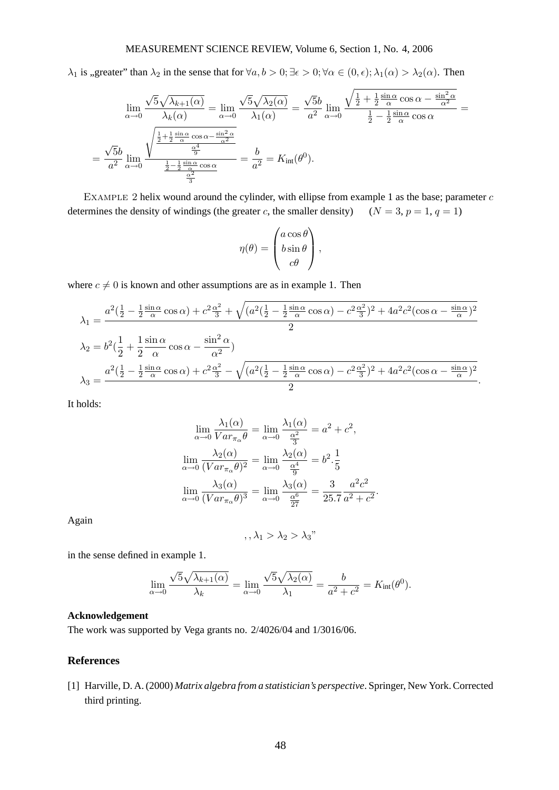$\lambda_1$  is , greater" than  $\lambda_2$  in the sense that for  $\forall a, b > 0; \exists \epsilon > 0; \forall \alpha \in (0, \epsilon)$ ;  $\lambda_1(\alpha) > \lambda_2(\alpha)$ . Then

$$
\lim_{\alpha \to 0} \frac{\sqrt{5}\sqrt{\lambda_{k+1}(\alpha)}}{\lambda_k(\alpha)} = \lim_{\alpha \to 0} \frac{\sqrt{5}\sqrt{\lambda_2(\alpha)}}{\lambda_1(\alpha)} = \frac{\sqrt{5}b}{a^2} \lim_{\alpha \to 0} \frac{\sqrt{\frac{1}{2} + \frac{1}{2}\frac{\sin\alpha}{\alpha}\cos\alpha - \frac{\sin^2\alpha}{\alpha^2}}}{\frac{1}{2} - \frac{1}{2}\frac{\sin\alpha}{\alpha}\cos\alpha} = \frac{\sqrt{5}b}{a^2} \lim_{\alpha \to 0} \frac{\sqrt{\frac{1}{2} + \frac{1}{2}\frac{\sin\alpha}{\alpha}\cos\alpha - \frac{\sin^2\alpha}{\alpha^2}}}{\frac{\frac{1}{2} - \frac{1}{2}\frac{\sin\alpha}{\alpha}\cos\alpha}{\frac{\frac{\alpha^2}{2}}{\frac{\alpha^2}{2}}} = \frac{b}{a^2} = K_{\text{int}}(\theta^0).
$$

EXAMPLE 2 helix wound around the cylinder, with ellipse from example 1 as the base; parameter  $c$ determines the density of windings (the greater c, the smaller density)  $(N = 3, p = 1, q = 1)$ 

$$
\eta(\theta) = \begin{pmatrix} a\cos\theta \\ b\sin\theta \\ c\theta \end{pmatrix},
$$

where  $c \neq 0$  is known and other assumptions are as in example 1. Then

$$
\lambda_1 = \frac{a^2(\frac{1}{2} - \frac{1}{2}\frac{\sin\alpha}{\alpha}\cos\alpha) + c^2\frac{\alpha^2}{3} + \sqrt{(a^2(\frac{1}{2} - \frac{1}{2}\frac{\sin\alpha}{\alpha}\cos\alpha) - c^2\frac{\alpha^2}{3})^2 + 4a^2c^2(\cos\alpha - \frac{\sin\alpha}{\alpha})^2}}{2}
$$
  
\n
$$
\lambda_2 = b^2(\frac{1}{2} + \frac{1}{2}\frac{\sin\alpha}{\alpha}\cos\alpha - \frac{\sin^2\alpha}{\alpha^2})
$$
  
\n
$$
\lambda_3 = \frac{a^2(\frac{1}{2} - \frac{1}{2}\frac{\sin\alpha}{\alpha}\cos\alpha) + c^2\frac{\alpha^2}{3} - \sqrt{(a^2(\frac{1}{2} - \frac{1}{2}\frac{\sin\alpha}{\alpha}\cos\alpha) - c^2\frac{\alpha^2}{3})^2 + 4a^2c^2(\cos\alpha - \frac{\sin\alpha}{\alpha})^2}}{2}.
$$

It holds:

$$
\lim_{\alpha \to 0} \frac{\lambda_1(\alpha)}{Var_{\pi_{\alpha}} \theta} = \lim_{\alpha \to 0} \frac{\lambda_1(\alpha)}{\frac{\alpha^2}{3}} = a^2 + c^2,
$$
  

$$
\lim_{\alpha \to 0} \frac{\lambda_2(\alpha)}{(Var_{\pi_{\alpha}} \theta)^2} = \lim_{\alpha \to 0} \frac{\lambda_2(\alpha)}{\frac{\alpha^4}{9}} = b^2 \cdot \frac{1}{5}
$$
  

$$
\lim_{\alpha \to 0} \frac{\lambda_3(\alpha)}{(Var_{\pi_{\alpha}} \theta)^3} = \lim_{\alpha \to 0} \frac{\lambda_3(\alpha)}{\frac{\alpha^6}{27}} = \frac{3}{25.7} \frac{a^2 c^2}{a^2 + c^2}.
$$

Again

$$
,\lambda_1>\lambda_2>\lambda_3"
$$

in the sense defined in example 1.

$$
\lim_{\alpha \to 0} \frac{\sqrt{5}\sqrt{\lambda_{k+1}(\alpha)}}{\lambda_k} = \lim_{\alpha \to 0} \frac{\sqrt{5}\sqrt{\lambda_2(\alpha)}}{\lambda_1} = \frac{b}{a^2 + c^2} = K_{\text{int}}(\theta^0).
$$

# **Acknowledgement**

The work was supported by Vega grants no. 2/4026/04 and 1/3016/06.

# **References**

[1] Harville, D. A. (2000) *Matrix algebra from a statistician's perspective*. Springer, New York. Corrected third printing.